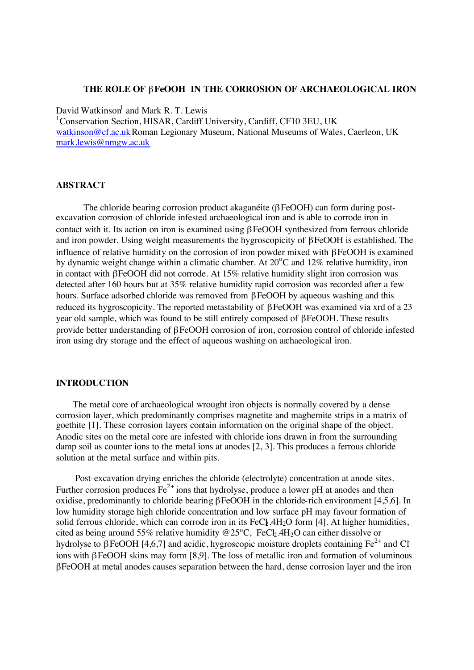## **THE ROLE OF** β**FeOOH IN THE CORROSION OF ARCHAEOLOGICAL IRON**

David Watkinson<sup>1</sup> and Mark R. T. Lewis

<sup>1</sup>Conservation Section, HISAR, Cardiff University, Cardiff, CF10 3EU, UK watkinson@cf.ac.ukRoman Legionary Museum, National Museums of Wales, Caerleon, UK mark.lewis@nmgw.ac.uk

#### **ABSTRACT**

The chloride bearing corrosion product akaganéite (βFeOOH) can form during postexcavation corrosion of chloride infested archaeological iron and is able to corrode iron in contact with it. Its action on iron is examined using βFeOOH synthesized from ferrous chloride and iron powder. Using weight measurements the hygroscopicity of βFeOOH is established. The influence of relative humidity on the corrosion of iron powder mixed with βFeOOH is examined by dynamic weight change within a climatic chamber. At  $20^{\circ}$ C and 12% relative humidity, iron in contact with βFeOOH did not corrode. At 15% relative humidity slight iron corrosion was detected after 160 hours but at 35% relative humidity rapid corrosion was recorded after a few hours. Surface adsorbed chloride was removed from βFeOOH by aqueous washing and this reduced its hygroscopicity. The reported metastability of βFeOOH was examined via xrd of a 23 year old sample, which was found to be still entirely composed of βFeOOH. These results provide better understanding of βFeOOH corrosion of iron, corrosion control of chloride infested iron using dry storage and the effect of aqueous washing on archaeological iron.

## **INTRODUCTION**

The metal core of archaeological wrought iron objects is normally covered by a dense corrosion layer, which predominantly comprises magnetite and maghemite strips in a matrix of goethite [1]. These corrosion layers contain information on the original shape of the object. Anodic sites on the metal core are infested with chloride ions drawn in from the surrounding damp soil as counter ions to the metal ions at anodes [2, 3]. This produces a ferrous chloride solution at the metal surface and within pits.

 Post-excavation drying enriches the chloride (electrolyte) concentration at anode sites. Further corrosion produces  $Fe^{2+}$  ions that hydrolyse, produce a lower pH at anodes and then oxidise, predominantly to chloride bearing βFeOOH in the chloride-rich environment [4,5,6]. In low humidity storage high chloride concentration and low surface pH may favour formation of solid ferrous chloride, which can corrode iron in its  $FeC_1.4H<sub>2</sub>O$  form [4]. At higher humidities, cited as being around 55% relative humidity @25°C, FeCb<sub>2</sub>.4H<sub>2</sub>O can either dissolve or hydrolyse to βFeOOH [4,6,7] and acidic, hygroscopic moisture droplets containing Fe<sup>2+</sup> and CI ions with βFeOOH skins may form [8,9]. The loss of metallic iron and formation of voluminous βFeOOH at metal anodes causes separation between the hard, dense corrosion layer and the iron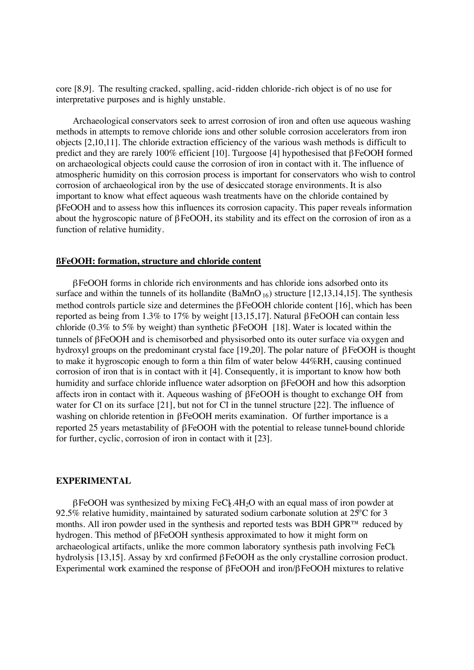core [8,9]. The resulting cracked, spalling, acid-ridden chloride-rich object is of no use for interpretative purposes and is highly unstable.

Archaeological conservators seek to arrest corrosion of iron and often use aqueous washing methods in attempts to remove chloride ions and other soluble corrosion accelerators from iron objects [2,10,11]. The chloride extraction efficiency of the various wash methods is difficult to predict and they are rarely 100% efficient [10]. Turgoose [4] hypothesised that βFeOOH formed on archaeological objects could cause the corrosion of iron in contact with it. The influence of atmospheric humidity on this corrosion process is important for conservators who wish to control corrosion of archaeological iron by the use of desiccated storage environments. It is also important to know what effect aqueous wash treatments have on the chloride contained by βFeOOH and to assess how this influences its corrosion capacity. This paper reveals information about the hygroscopic nature of βFeOOH, its stability and its effect on the corrosion of iron as a function of relative humidity.

# **ßFeOOH: formation, structure and chloride content**

βFeOOH forms in chloride rich environments and has chloride ions adsorbed onto its surface and within the tunnels of its hollandite (BaMnO<sub>16</sub>) structure [12,13,14,15]. The synthesis method controls particle size and determines the βFeOOH chloride content [16], which has been reported as being from 1.3% to 17% by weight [13,15,17]. Natural βFeOOH can contain less chloride (0.3% to 5% by weight) than synthetic βFeOOH [18]. Water is located within the tunnels of βFeOOH and is chemisorbed and physisorbed onto its outer surface via oxygen and hydroxyl groups on the predominant crystal face [19,20]. The polar nature of βFeOOH is thought to make it hygroscopic enough to form a thin film of water below 44%RH, causing continued corrosion of iron that is in contact with it [4]. Consequently, it is important to know how both humidity and surface chloride influence water adsorption on βFeOOH and how this adsorption affects iron in contact with it. Aqueous washing of βFeOOH is thought to exchange OH- from water for Cl on its surface [21], but not for Cl in the tunnel structure [22]. The influence of washing on chloride retention in βFeOOH merits examination. Of further importance is a reported 25 years metastability of βFeOOH with the potential to release tunnel-bound chloride for further, cyclic, corrosion of iron in contact with it [23].

# **EXPERIMENTAL**

 $\beta$ FeOOH was synthesized by mixing FeCl.4H<sub>2</sub>O with an equal mass of iron powder at 92.5% relative humidity, maintained by saturated sodium carbonate solution at  $25^{\circ}$ C for 3 months. All iron powder used in the synthesis and reported tests was BDH GPR™ reduced by hydrogen. This method of βFeOOH synthesis approximated to how it might form on archaeological artifacts, unlike the more common laboratory synthesis path involving FeCl<sub>3</sub> hydrolysis [13,15]. Assay by xrd confirmed βFeOOH as the only crystalline corrosion product. Experimental work examined the response of βFeOOH and iron/βFeOOH mixtures to relative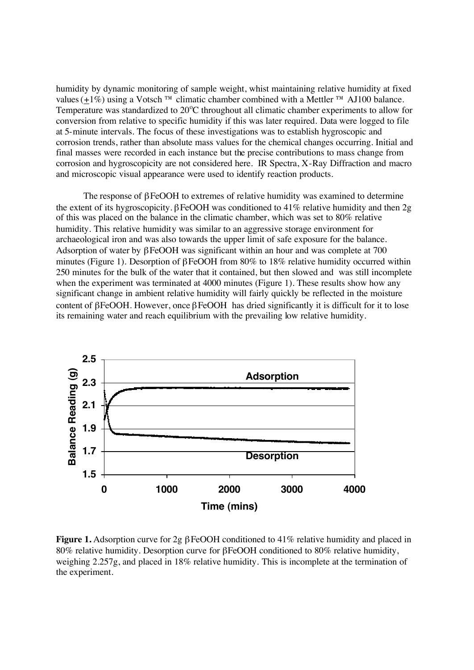humidity by dynamic monitoring of sample weight, whist maintaining relative humidity at fixed values ( $+1\%$ ) using a Votsch<sup>TM</sup> climatic chamber combined with a Mettler<sup>TM</sup> AJ100 balance. Temperature was standardized to 20°C throughout all climatic chamber experiments to allow for conversion from relative to specific humidity if this was later required. Data were logged to file at 5-minute intervals. The focus of these investigations was to establish hygroscopic and corrosion trends, rather than absolute mass values for the chemical changes occurring. Initial and final masses were recorded in each instance but the precise contributions to mass change from corrosion and hygroscopicity are not considered here. IR Spectra, X-Ray Diffraction and macro and microscopic visual appearance were used to identify reaction products.

The response of βFeOOH to extremes of relative humidity was examined to determine the extent of its hygroscopicity. βFeOOH was conditioned to 41% relative humidity and then 2g of this was placed on the balance in the climatic chamber, which was set to 80% relative humidity. This relative humidity was similar to an aggressive storage environment for archaeological iron and was also towards the upper limit of safe exposure for the balance. Adsorption of water by βFeOOH was significant within an hour and was complete at 700 minutes (Figure 1). Desorption of βFeOOH from 80% to 18% relative humidity occurred within 250 minutes for the bulk of the water that it contained, but then slowed and was still incomplete when the experiment was terminated at 4000 minutes (Figure 1). These results show how any significant change in ambient relative humidity will fairly quickly be reflected in the moisture content of βFeOOH. However, once βFeOOH has dried significantly it is difficult for it to lose its remaining water and reach equilibrium with the prevailing low relative humidity.



**Figure 1.** Adsorption curve for 2g βFeOOH conditioned to 41% relative humidity and placed in 80% relative humidity. Desorption curve for βFeOOH conditioned to 80% relative humidity, weighing 2.257g, and placed in 18% relative humidity. This is incomplete at the termination of the experiment.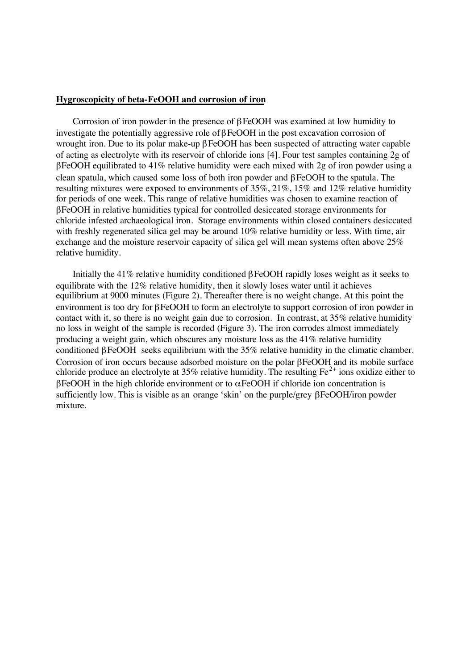# **Hygroscopicity of beta-FeOOH and corrosion of iron**

Corrosion of iron powder in the presence of βFeOOH was examined at low humidity to investigate the potentially aggressive role ofβFeOOH in the post excavation corrosion of wrought iron. Due to its polar make-up βFeOOH has been suspected of attracting water capable of acting as electrolyte with its reservoir of chloride ions [4]. Four test samples containing 2g of βFeOOH equilibrated to 41% relative humidity were each mixed with 2g of iron powder using a clean spatula, which caused some loss of both iron powder and βFeOOH to the spatula. The resulting mixtures were exposed to environments of 35%, 21%, 15% and 12% relative humidity for periods of one week. This range of relative humidities was chosen to examine reaction of βFeOOH in relative humidities typical for controlled desiccated storage environments for chloride infested archaeological iron. Storage environments within closed containers desiccated with freshly regenerated silica gel may be around 10% relative humidity or less. With time, air exchange and the moisture reservoir capacity of silica gel will mean systems often above 25% relative humidity.

Initially the 41% relative humidity conditioned βFeOOH rapidly loses weight as it seeks to equilibrate with the 12% relative humidity, then it slowly loses water until it achieves equilibrium at 9000 minutes (Figure 2). Thereafter there is no weight change. At this point the environment is too dry for βFeOOH to form an electrolyte to support corrosion of iron powder in contact with it, so there is no weight gain due to corrosion. In contrast, at 35% relative humidity no loss in weight of the sample is recorded (Figure 3). The iron corrodes almost immediately producing a weight gain, which obscures any moisture loss as the 41% relative humidity conditioned  $\beta$ FeOOH seeks equilibrium with the 35% relative humidity in the climatic chamber. Corrosion of iron occurs because adsorbed moisture on the polar βFeOOH and its mobile surface chloride produce an electrolyte at 35% relative humidity. The resulting  $Fe^{2+}$  ions oxidize either to βFeOOH in the high chloride environment or to αFeOOH if chloride ion concentration is sufficiently low. This is visible as an orange 'skin' on the purple/grey βFeOOH/iron powder mixture.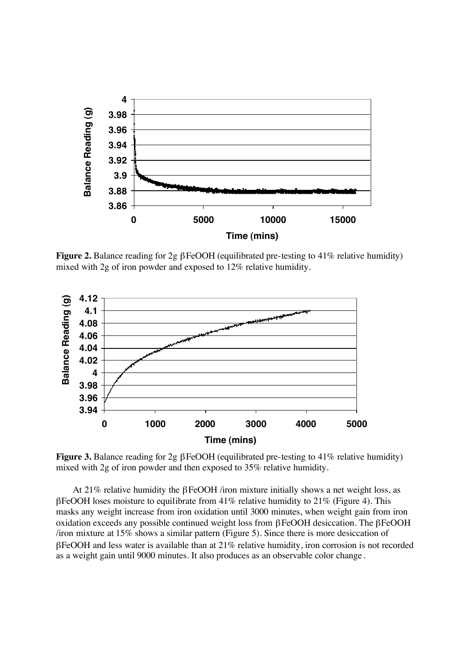

**Figure 2.** Balance reading for 2g βFeOOH (equilibrated pre-testing to 41% relative humidity) mixed with 2g of iron powder and exposed to 12% relative humidity.



**Figure 3.** Balance reading for 2g βFeOOH (equilibrated pre-testing to 41% relative humidity) mixed with 2g of iron powder and then exposed to 35% relative humidity.

At 21% relative humidity the βFeOOH /iron mixture initially shows a net weight loss, as βFeOOH loses moisture to equilibrate from 41% relative humidity to 21% (Figure 4). This masks any weight increase from iron oxidation until 3000 minutes, when weight gain from iron oxidation exceeds any possible continued weight loss from βFeOOH desiccation. The βFeOOH /iron mixture at 15% shows a similar pattern (Figure 5). Since there is more desiccation of βFeOOH and less water is available than at 21% relative humidity, iron corrosion is not recorded as a weight gain until 9000 minutes. It also produces as an observable color change .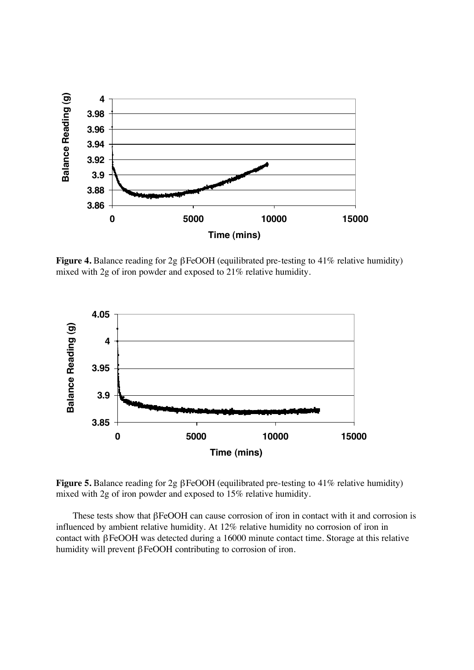

**Figure 4.** Balance reading for 2g βFeOOH (equilibrated pre-testing to 41% relative humidity) mixed with 2g of iron powder and exposed to 21% relative humidity.



**Figure 5.** Balance reading for 2g βFeOOH (equilibrated pre-testing to 41% relative humidity) mixed with 2g of iron powder and exposed to 15% relative humidity.

These tests show that βFeOOH can cause corrosion of iron in contact with it and corrosion is influenced by ambient relative humidity. At 12% relative humidity no corrosion of iron in contact with βFeOOH was detected during a 16000 minute contact time. Storage at this relative humidity will prevent βFeOOH contributing to corrosion of iron.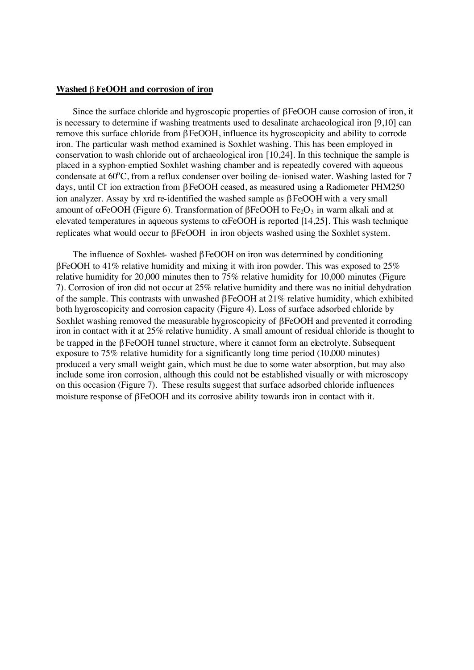#### **Washed** β **FeOOH and corrosion of iron**

Since the surface chloride and hygroscopic properties of βFeOOH cause corrosion of iron, it is necessary to determine if washing treatments used to desalinate archaeological iron [9,10] can remove this surface chloride from βFeOOH, influence its hygroscopicity and ability to corrode iron. The particular wash method examined is Soxhlet washing. This has been employed in conservation to wash chloride out of archaeological iron [10,24]. In this technique the sample is placed in a syphon-emptied Soxhlet washing chamber and is repeatedly covered with aqueous condensate at  $60^{\circ}$ C, from a reflux condenser over boiling de-ionised water. Washing lasted for 7 days, until CI ion extraction from βFeOOH ceased, as measured using a Radiometer PHM250 ion analyzer. Assay by xrd re-identified the washed sample as βFeOOHwith a very small amount of  $αFeOOH$  (Figure 6). Transformation of  $βFeOOH$  to  $Fe<sub>2</sub>O<sub>3</sub>$  in warm alkali and at elevated temperatures in aqueous systems to  $\alpha$ FeOOH is reported [14,25]. This wash technique replicates what would occur to βFeOOH in iron objects washed using the Soxhlet system.

The influence of Soxhlet- washed  $\beta$  FeOOH on iron was determined by conditioning βFeOOH to 41% relative humidity and mixing it with iron powder. This was exposed to 25% relative humidity for 20,000 minutes then to 75% relative humidity for 10,000 minutes (Figure 7). Corrosion of iron did not occur at 25% relative humidity and there was no initial dehydration of the sample. This contrasts with unwashed βFeOOH at 21% relative humidity, which exhibited both hygroscopicity and corrosion capacity (Figure 4). Loss of surface adsorbed chloride by Soxhlet washing removed the measurable hygroscopicity of βFeOOH and prevented it corroding iron in contact with it at 25% relative humidity. A small amount of residual chloride is thought to be trapped in the βFeOOH tunnel structure, where it cannot form an electrolyte. Subsequent exposure to 75% relative humidity for a significantly long time period (10,000 minutes) produced a very small weight gain, which must be due to some water absorption, but may also include some iron corrosion, although this could not be established visually or with microscopy on this occasion (Figure 7). These results suggest that surface adsorbed chloride influences moisture response of βFeOOH and its corrosive ability towards iron in contact with it.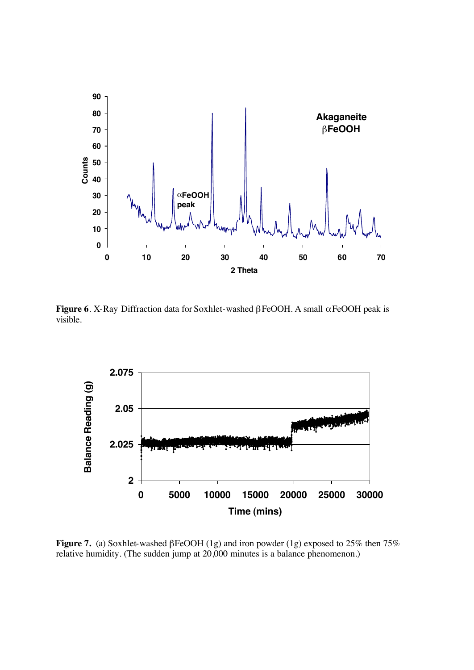

**Figure 6**. X-Ray Diffraction data for Soxhlet-washed βFeOOH. A small αFeOOH peak is visible.



**Figure 7.** (a) Soxhlet-washed βFeOOH (1g) and iron powder (1g) exposed to 25% then 75% relative humidity. (The sudden jump at 20,000 minutes is a balance phenomenon.)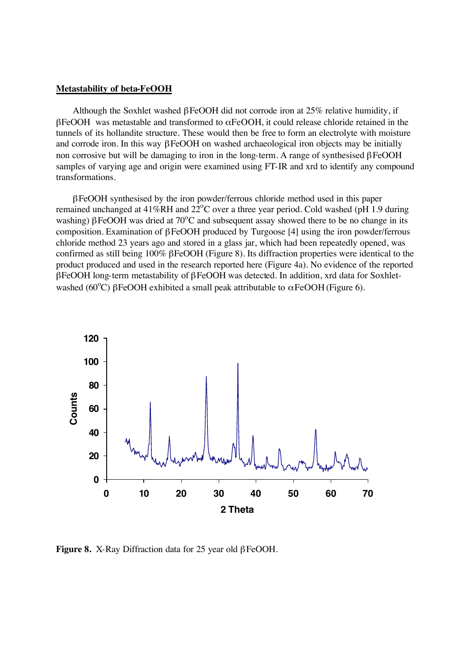#### **Metastability of beta-FeOOH**

Although the Soxhlet washed  $\beta$  FeOOH did not corrode iron at 25% relative humidity, if βFeOOH was metastable and transformed to αFeOOH, it could release chloride retained in the tunnels of its hollandite structure. These would then be free to form an electrolyte with moisture and corrode iron. In this way  $\beta$  FeOOH on washed archaeological iron objects may be initially non corrosive but will be damaging to iron in the long-term. A range of synthesised βFeOOH samples of varying age and origin were examined using FT-IR and xrd to identify any compound transformations.

βFeOOH synthesised by the iron powder/ferrous chloride method used in this paper remained unchanged at 41%RH and  $22^{\circ}$ C over a three year period. Cold washed (pH 1.9 during washing)  $\beta$  FeOOH was dried at 70°C and subsequent assay showed there to be no change in its composition. Examination of βFeOOH produced by Turgoose [4] using the iron powder/ferrous chloride method 23 years ago and stored in a glass jar, which had been repeatedly opened, was confirmed as still being 100% βFeOOH (Figure 8). Its diffraction properties were identical to the product produced and used in the research reported here (Figure 4a). No evidence of the reported βFeOOH long-term metastability of βFeOOH was detected. In addition, xrd data for Soxhletwashed (60°C)  $\beta$ FeOOH exhibited a small peak attributable to  $\alpha$ FeOOH (Figure 6).



**Figure 8.** X-Ray Diffraction data for 25 year old βFeOOH.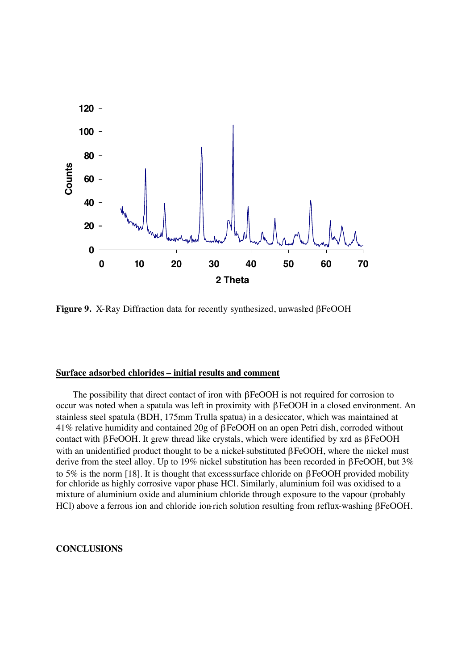

**Figure 9.** X-Ray Diffraction data for recently synthesized, unwashed βFeOOH

# **Surface adsorbed chlorides – initial results and comment**

The possibility that direct contact of iron with βFeOOH is not required for corrosion to occur was noted when a spatula was left in proximity with βFeOOH in a closed environment. An stainless steel spatula (BDH, 175mm Trulla spatua) in a desiccator, which was maintained at 41% relative humidity and contained 20g of βFeOOH on an open Petri dish, corroded without contact with βFeOOH. It grew thread like crystals, which were identified by xrd as βFeOOH with an unidentified product thought to be a nickel-substituted βFeOOH, where the nickel must derive from the steel alloy. Up to 19% nickel substitution has been recorded in βFeOOH, but 3% to 5% is the norm [18]. It is thought that excess surface chloride on  $\beta$ FeOOH provided mobility for chloride as highly corrosive vapor phase HCl. Similarly, aluminium foil was oxidised to a mixture of aluminium oxide and aluminium chloride through exposure to the vapour (probably HCl) above a ferrous ion and chloride ion-rich solution resulting from reflux-washing βFeOOH.

# **CONCLUSIONS**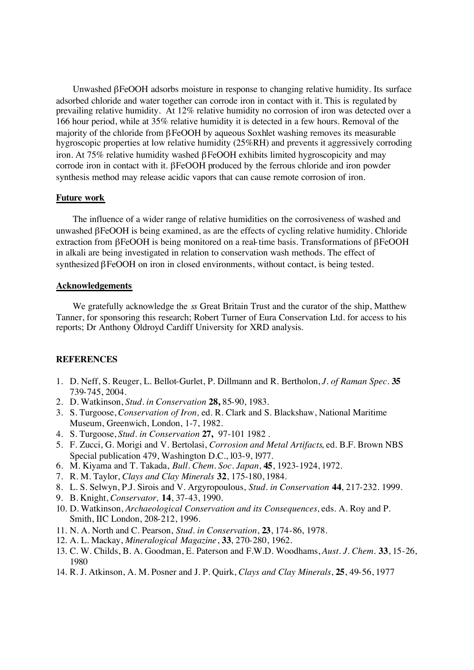Unwashed βFeOOH adsorbs moisture in response to changing relative humidity. Its surface adsorbed chloride and water together can corrode iron in contact with it. This is regulated by prevailing relative humidity. At 12% relative humidity no corrosion of iron was detected over a 166 hour period, while at 35% relative humidity it is detected in a few hours. Removal of the majority of the chloride from βFeOOH by aqueous Soxhlet washing removes its measurable hygroscopic properties at low relative humidity (25%RH) and prevents it aggressively corroding iron. At 75% relative humidity washed βFeOOH exhibits limited hygroscopicity and may corrode iron in contact with it. βFeOOH produced by the ferrous chloride and iron powder synthesis method may release acidic vapors that can cause remote corrosion of iron.

## **Future work**

The influence of a wider range of relative humidities on the corrosiveness of washed and unwashed βFeOOH is being examined, as are the effects of cycling relative humidity. Chloride extraction from βFeOOH is being monitored on a real-time basis. Transformations of βFeOOH in alkali are being investigated in relation to conservation wash methods. The effect of synthesized βFeOOH on iron in closed environments, without contact, is being tested.

## **Acknowledgements**

We gratefully acknowledge the *ss* Great Britain Trust and the curator of the ship, Matthew Tanner, for sponsoring this research; Robert Turner of Eura Conservation Ltd. for access to his reports; Dr Anthony Oldroyd Cardiff University for XRD analysis.

## **REFERENCES**

- 1. D. Neff, S. Reuger, L. Bellot-Gurlet, P. Dillmann and R. Bertholon, *J. of Raman Spec.* **35** 739-745, 2004.
- 2. D. Watkinson, *Stud. in Conservation* **28,** 85-90, 1983.
- 3. S. Turgoose, *Conservation of Iron,* ed. R. Clark and S. Blackshaw, National Maritime Museum, Greenwich, London, 1-7, 1982.
- 4. S. Turgoose, *Stud. in Conservation* **27,** 97-101 1982 .
- 5. F. Zucci, G. Morigi and V. Bertolasi, *Corrosion and Metal Artifacts*, ed. B.F. Brown NBS Special publication 479, Washington D.C., 103-9, 1977.
- 6. M. Kiyama and T. Takada, *Bull. Chem. Soc. Japan*, **45**, 1923-1924, 1972.
- 7. R. M. Taylor, *Clays and Clay Minerals* **32**, 175-180, 1984.
- 8. L. S. Selwyn, P.J. Sirois and V. Argyropoulous, *Stud. in Conservation* **44**, 217-232. 1999.
- 9. B. Knight, *Conservator,* **14**, 37-43, 1990.
- 10. D. Watkinson, *Archaeological Conservation and its Consequences,* eds. A. Roy and P. Smith, IIC London, 208-212, 1996.
- 11. N. A. North and C. Pearson, *Stud. in Conservation*, **23**, 174-86, 1978.
- 12. A. L. Mackay, *Mineralogical Magazine*, **33**, 270-280, 1962.
- 13. C. W. Childs, B. A. Goodman, E. Paterson and F.W.D. Woodhams, *Aust. J. Chem.* **33**, 15-26, 1980
- 14. R. J. Atkinson, A. M. Posner and J. P. Quirk, *Clays and Clay Minerals*, **25**, 49-56, 1977